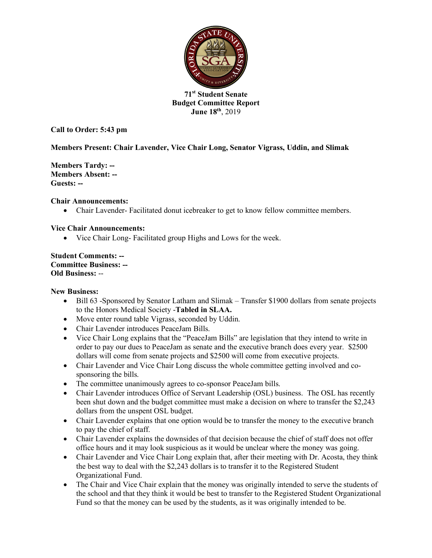

**71st Student Senate Budget Committee Report June 18th**, 2019

**Call to Order: 5:43 pm**

# **Members Present: Chair Lavender, Vice Chair Long, Senator Vigrass, Uddin, and Slimak**

**Members Tardy: -- Members Absent: -- Guests: --**

## **Chair Announcements:**

• Chair Lavender-Facilitated donut icebreaker to get to know fellow committee members.

## **Vice Chair Announcements:**

• Vice Chair Long- Facilitated group Highs and Lows for the week.

**Student Comments: -- Committee Business: -- Old Business:** --

#### **New Business:**

- Bill 63 -Sponsored by Senator Latham and Slimak Transfer \$1900 dollars from senate projects to the Honors Medical Society -**Tabled in SLAA.**
- Move enter round table Vigrass, seconded by Uddin.
- Chair Lavender introduces PeaceJam Bills.
- Vice Chair Long explains that the "PeaceJam Bills" are legislation that they intend to write in order to pay our dues to PeaceJam as senate and the executive branch does every year. \$2500 dollars will come from senate projects and \$2500 will come from executive projects.
- Chair Lavender and Vice Chair Long discuss the whole committee getting involved and cosponsoring the bills.
- The committee unanimously agrees to co-sponsor PeaceJam bills.
- Chair Lavender introduces Office of Servant Leadership (OSL) business. The OSL has recently been shut down and the budget committee must make a decision on where to transfer the \$2,243 dollars from the unspent OSL budget.
- Chair Lavender explains that one option would be to transfer the money to the executive branch to pay the chief of staff.
- Chair Lavender explains the downsides of that decision because the chief of staff does not offer office hours and it may look suspicious as it would be unclear where the money was going.
- Chair Lavender and Vice Chair Long explain that, after their meeting with Dr. Acosta, they think the best way to deal with the \$2,243 dollars is to transfer it to the Registered Student Organizational Fund.
- The Chair and Vice Chair explain that the money was originally intended to serve the students of the school and that they think it would be best to transfer to the Registered Student Organizational Fund so that the money can be used by the students, as it was originally intended to be.